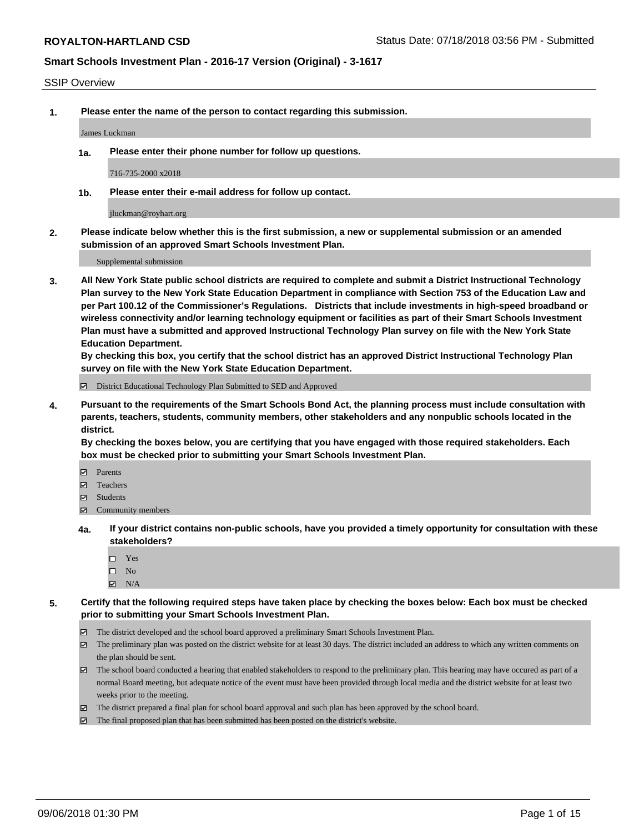#### SSIP Overview

**1. Please enter the name of the person to contact regarding this submission.**

James Luckman

**1a. Please enter their phone number for follow up questions.**

716-735-2000 x2018

**1b. Please enter their e-mail address for follow up contact.**

jluckman@royhart.org

**2. Please indicate below whether this is the first submission, a new or supplemental submission or an amended submission of an approved Smart Schools Investment Plan.**

Supplemental submission

**3. All New York State public school districts are required to complete and submit a District Instructional Technology Plan survey to the New York State Education Department in compliance with Section 753 of the Education Law and per Part 100.12 of the Commissioner's Regulations. Districts that include investments in high-speed broadband or wireless connectivity and/or learning technology equipment or facilities as part of their Smart Schools Investment Plan must have a submitted and approved Instructional Technology Plan survey on file with the New York State Education Department.** 

**By checking this box, you certify that the school district has an approved District Instructional Technology Plan survey on file with the New York State Education Department.**

District Educational Technology Plan Submitted to SED and Approved

**4. Pursuant to the requirements of the Smart Schools Bond Act, the planning process must include consultation with parents, teachers, students, community members, other stakeholders and any nonpublic schools located in the district.** 

**By checking the boxes below, you are certifying that you have engaged with those required stakeholders. Each box must be checked prior to submitting your Smart Schools Investment Plan.**

- **Parents**
- Teachers
- **☑** Students
- **☑** Community members
- **4a. If your district contains non-public schools, have you provided a timely opportunity for consultation with these stakeholders?**
	- □ Yes
	- $\square$  No
	- $\boxtimes$  N/A
- **5. Certify that the following required steps have taken place by checking the boxes below: Each box must be checked prior to submitting your Smart Schools Investment Plan.**
	- The district developed and the school board approved a preliminary Smart Schools Investment Plan.
	- $\boxtimes$  The preliminary plan was posted on the district website for at least 30 days. The district included an address to which any written comments on the plan should be sent.
	- The school board conducted a hearing that enabled stakeholders to respond to the preliminary plan. This hearing may have occured as part of a normal Board meeting, but adequate notice of the event must have been provided through local media and the district website for at least two weeks prior to the meeting.
	- The district prepared a final plan for school board approval and such plan has been approved by the school board.
	- The final proposed plan that has been submitted has been posted on the district's website.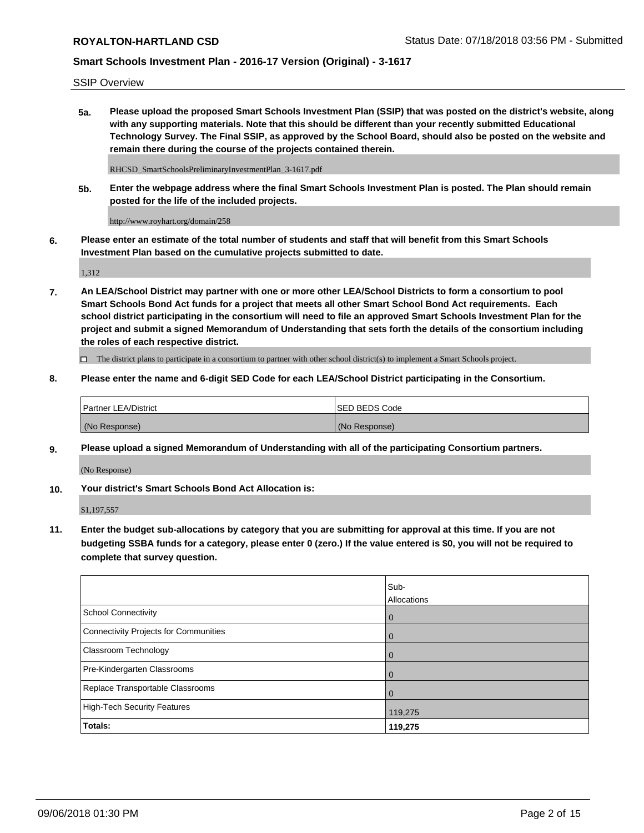SSIP Overview

**5a. Please upload the proposed Smart Schools Investment Plan (SSIP) that was posted on the district's website, along with any supporting materials. Note that this should be different than your recently submitted Educational Technology Survey. The Final SSIP, as approved by the School Board, should also be posted on the website and remain there during the course of the projects contained therein.**

RHCSD\_SmartSchoolsPreliminaryInvestmentPlan\_3-1617.pdf

**5b. Enter the webpage address where the final Smart Schools Investment Plan is posted. The Plan should remain posted for the life of the included projects.**

http://www.royhart.org/domain/258

**6. Please enter an estimate of the total number of students and staff that will benefit from this Smart Schools Investment Plan based on the cumulative projects submitted to date.**

1,312

**7. An LEA/School District may partner with one or more other LEA/School Districts to form a consortium to pool Smart Schools Bond Act funds for a project that meets all other Smart School Bond Act requirements. Each school district participating in the consortium will need to file an approved Smart Schools Investment Plan for the project and submit a signed Memorandum of Understanding that sets forth the details of the consortium including the roles of each respective district.**

 $\Box$  The district plans to participate in a consortium to partner with other school district(s) to implement a Smart Schools project.

**8. Please enter the name and 6-digit SED Code for each LEA/School District participating in the Consortium.**

| Partner LEA/District | <b>ISED BEDS Code</b> |
|----------------------|-----------------------|
| (No Response)        | (No Response)         |

### **9. Please upload a signed Memorandum of Understanding with all of the participating Consortium partners.**

(No Response)

**10. Your district's Smart Schools Bond Act Allocation is:**

\$1,197,557

**11. Enter the budget sub-allocations by category that you are submitting for approval at this time. If you are not budgeting SSBA funds for a category, please enter 0 (zero.) If the value entered is \$0, you will not be required to complete that survey question.**

|                                       | Sub-<br>Allocations |
|---------------------------------------|---------------------|
| School Connectivity                   | $\overline{0}$      |
| Connectivity Projects for Communities | $\overline{0}$      |
| <b>Classroom Technology</b>           | $\overline{0}$      |
| Pre-Kindergarten Classrooms           | 0                   |
| Replace Transportable Classrooms      |                     |
| High-Tech Security Features           | 119,275             |
| Totals:                               | 119,275             |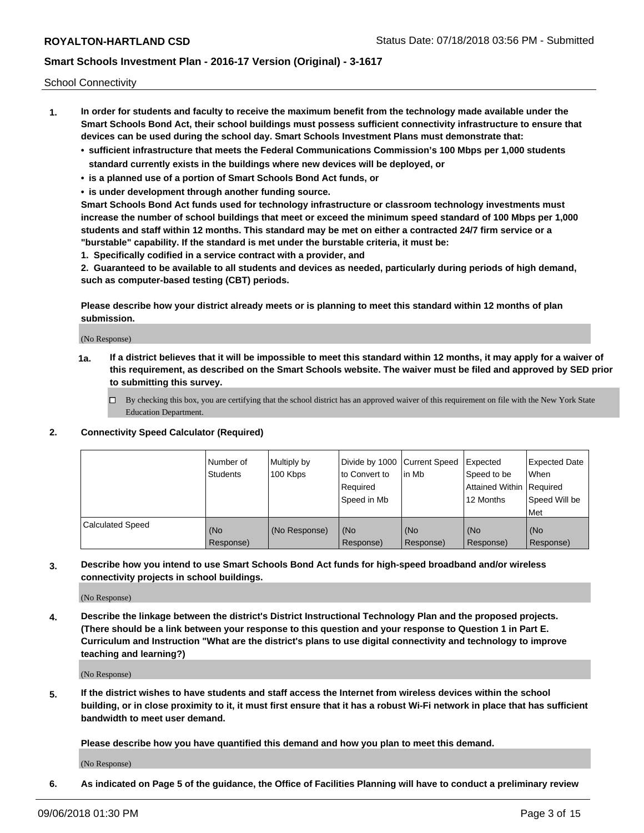School Connectivity

- **1. In order for students and faculty to receive the maximum benefit from the technology made available under the Smart Schools Bond Act, their school buildings must possess sufficient connectivity infrastructure to ensure that devices can be used during the school day. Smart Schools Investment Plans must demonstrate that:**
	- **• sufficient infrastructure that meets the Federal Communications Commission's 100 Mbps per 1,000 students standard currently exists in the buildings where new devices will be deployed, or**
	- **• is a planned use of a portion of Smart Schools Bond Act funds, or**
	- **• is under development through another funding source.**

**Smart Schools Bond Act funds used for technology infrastructure or classroom technology investments must increase the number of school buildings that meet or exceed the minimum speed standard of 100 Mbps per 1,000 students and staff within 12 months. This standard may be met on either a contracted 24/7 firm service or a "burstable" capability. If the standard is met under the burstable criteria, it must be:**

**1. Specifically codified in a service contract with a provider, and**

**2. Guaranteed to be available to all students and devices as needed, particularly during periods of high demand, such as computer-based testing (CBT) periods.**

**Please describe how your district already meets or is planning to meet this standard within 12 months of plan submission.**

(No Response)

**1a. If a district believes that it will be impossible to meet this standard within 12 months, it may apply for a waiver of this requirement, as described on the Smart Schools website. The waiver must be filed and approved by SED prior to submitting this survey.**

 $\Box$  By checking this box, you are certifying that the school district has an approved waiver of this requirement on file with the New York State Education Department.

**2. Connectivity Speed Calculator (Required)**

|                         | l Number of<br><b>Students</b> | Multiply by<br>100 Kbps | Divide by 1000 Current Speed<br>to Convert to<br>Required<br>Speed in Mb | lin Mb           | Expected<br>Speed to be<br>Attained Within   Required<br>12 Months | <b>Expected Date</b><br><b>When</b><br>Speed Will be<br><b>Met</b> |
|-------------------------|--------------------------------|-------------------------|--------------------------------------------------------------------------|------------------|--------------------------------------------------------------------|--------------------------------------------------------------------|
| <b>Calculated Speed</b> | (No<br>Response)               | (No Response)           | (No<br>Response)                                                         | (No<br>Response) | (No<br>Response)                                                   | (No<br>Response)                                                   |

**3. Describe how you intend to use Smart Schools Bond Act funds for high-speed broadband and/or wireless connectivity projects in school buildings.**

(No Response)

**4. Describe the linkage between the district's District Instructional Technology Plan and the proposed projects. (There should be a link between your response to this question and your response to Question 1 in Part E. Curriculum and Instruction "What are the district's plans to use digital connectivity and technology to improve teaching and learning?)**

(No Response)

**5. If the district wishes to have students and staff access the Internet from wireless devices within the school building, or in close proximity to it, it must first ensure that it has a robust Wi-Fi network in place that has sufficient bandwidth to meet user demand.**

**Please describe how you have quantified this demand and how you plan to meet this demand.**

(No Response)

**6. As indicated on Page 5 of the guidance, the Office of Facilities Planning will have to conduct a preliminary review**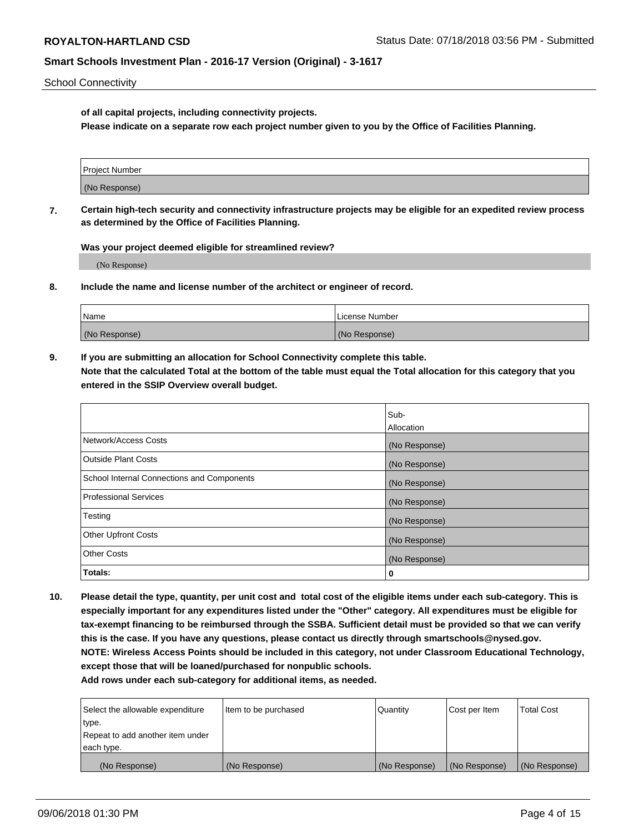School Connectivity

**of all capital projects, including connectivity projects.**

**Please indicate on a separate row each project number given to you by the Office of Facilities Planning.**

| Project Number |  |
|----------------|--|
|                |  |
| (No Response)  |  |
|                |  |

**7. Certain high-tech security and connectivity infrastructure projects may be eligible for an expedited review process as determined by the Office of Facilities Planning.**

**Was your project deemed eligible for streamlined review?**

(No Response)

**8. Include the name and license number of the architect or engineer of record.**

| Name          | License Number |
|---------------|----------------|
| (No Response) | (No Response)  |

**9. If you are submitting an allocation for School Connectivity complete this table. Note that the calculated Total at the bottom of the table must equal the Total allocation for this category that you entered in the SSIP Overview overall budget.** 

|                                            | Sub-          |
|--------------------------------------------|---------------|
|                                            | Allocation    |
| Network/Access Costs                       | (No Response) |
| Outside Plant Costs                        | (No Response) |
| School Internal Connections and Components | (No Response) |
| <b>Professional Services</b>               | (No Response) |
| Testing                                    | (No Response) |
| <b>Other Upfront Costs</b>                 | (No Response) |
| <b>Other Costs</b>                         | (No Response) |
| Totals:                                    | 0             |

**10. Please detail the type, quantity, per unit cost and total cost of the eligible items under each sub-category. This is especially important for any expenditures listed under the "Other" category. All expenditures must be eligible for tax-exempt financing to be reimbursed through the SSBA. Sufficient detail must be provided so that we can verify this is the case. If you have any questions, please contact us directly through smartschools@nysed.gov. NOTE: Wireless Access Points should be included in this category, not under Classroom Educational Technology, except those that will be loaned/purchased for nonpublic schools.**

| Select the allowable expenditure | Item to be purchased | Quantity      | <b>Cost per Item</b> | <b>Total Cost</b> |
|----------------------------------|----------------------|---------------|----------------------|-------------------|
| type.                            |                      |               |                      |                   |
| Repeat to add another item under |                      |               |                      |                   |
| each type.                       |                      |               |                      |                   |
| (No Response)                    | (No Response)        | (No Response) | (No Response)        | (No Response)     |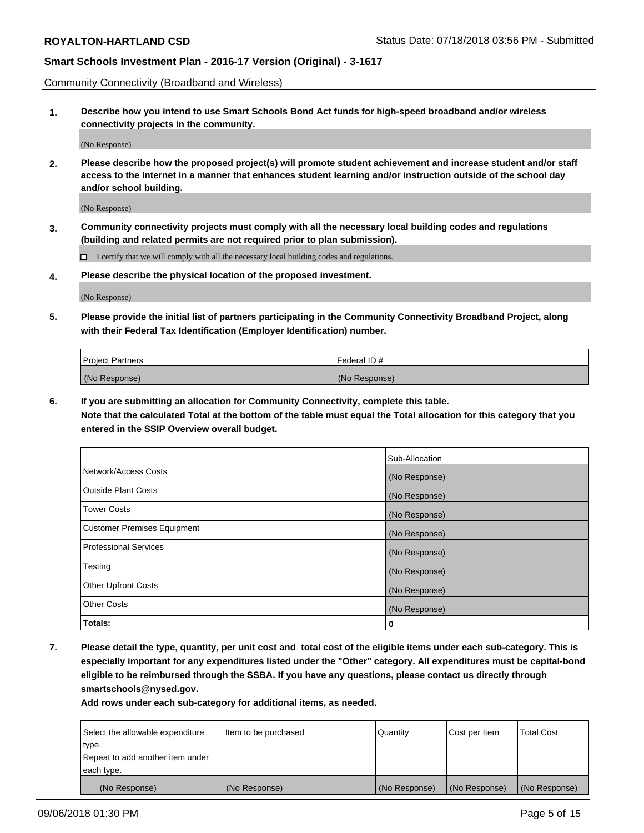Community Connectivity (Broadband and Wireless)

**1. Describe how you intend to use Smart Schools Bond Act funds for high-speed broadband and/or wireless connectivity projects in the community.**

(No Response)

**2. Please describe how the proposed project(s) will promote student achievement and increase student and/or staff access to the Internet in a manner that enhances student learning and/or instruction outside of the school day and/or school building.**

(No Response)

**3. Community connectivity projects must comply with all the necessary local building codes and regulations (building and related permits are not required prior to plan submission).**

 $\Box$  I certify that we will comply with all the necessary local building codes and regulations.

**4. Please describe the physical location of the proposed investment.**

(No Response)

**5. Please provide the initial list of partners participating in the Community Connectivity Broadband Project, along with their Federal Tax Identification (Employer Identification) number.**

| <b>Project Partners</b> | Federal ID#   |
|-------------------------|---------------|
| (No Response)           | (No Response) |

**6. If you are submitting an allocation for Community Connectivity, complete this table.**

**Note that the calculated Total at the bottom of the table must equal the Total allocation for this category that you entered in the SSIP Overview overall budget.**

|                                    | Sub-Allocation |
|------------------------------------|----------------|
| Network/Access Costs               | (No Response)  |
| <b>Outside Plant Costs</b>         | (No Response)  |
| <b>Tower Costs</b>                 | (No Response)  |
| <b>Customer Premises Equipment</b> | (No Response)  |
| <b>Professional Services</b>       | (No Response)  |
| Testing                            | (No Response)  |
| <b>Other Upfront Costs</b>         | (No Response)  |
| <b>Other Costs</b>                 | (No Response)  |
| Totals:                            | 0              |

**7. Please detail the type, quantity, per unit cost and total cost of the eligible items under each sub-category. This is especially important for any expenditures listed under the "Other" category. All expenditures must be capital-bond eligible to be reimbursed through the SSBA. If you have any questions, please contact us directly through smartschools@nysed.gov.**

| Select the allowable expenditure | Item to be purchased | Quantity      | Cost per Item | <b>Total Cost</b> |
|----------------------------------|----------------------|---------------|---------------|-------------------|
| type.                            |                      |               |               |                   |
| Repeat to add another item under |                      |               |               |                   |
| each type.                       |                      |               |               |                   |
| (No Response)                    | (No Response)        | (No Response) | (No Response) | (No Response)     |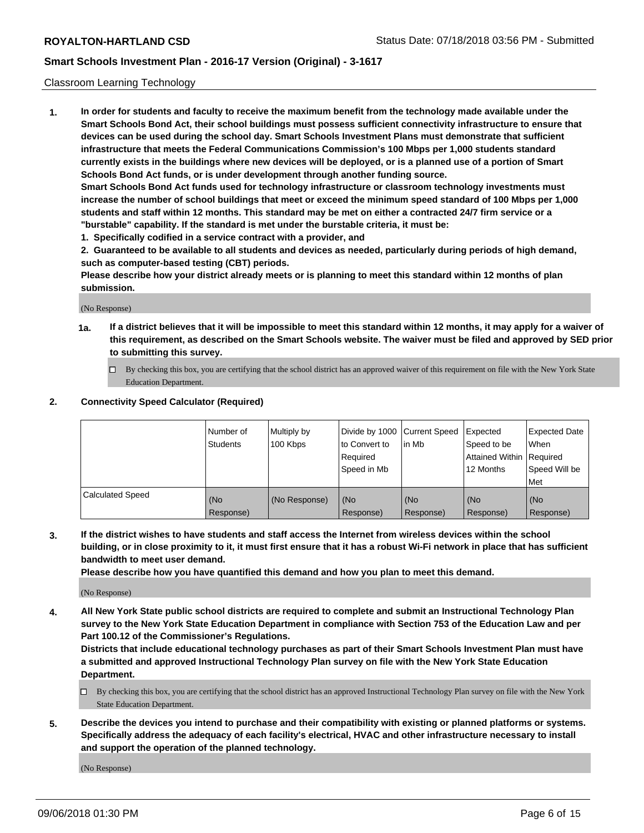### Classroom Learning Technology

**1. In order for students and faculty to receive the maximum benefit from the technology made available under the Smart Schools Bond Act, their school buildings must possess sufficient connectivity infrastructure to ensure that devices can be used during the school day. Smart Schools Investment Plans must demonstrate that sufficient infrastructure that meets the Federal Communications Commission's 100 Mbps per 1,000 students standard currently exists in the buildings where new devices will be deployed, or is a planned use of a portion of Smart Schools Bond Act funds, or is under development through another funding source. Smart Schools Bond Act funds used for technology infrastructure or classroom technology investments must**

**increase the number of school buildings that meet or exceed the minimum speed standard of 100 Mbps per 1,000 students and staff within 12 months. This standard may be met on either a contracted 24/7 firm service or a "burstable" capability. If the standard is met under the burstable criteria, it must be:**

**1. Specifically codified in a service contract with a provider, and**

**2. Guaranteed to be available to all students and devices as needed, particularly during periods of high demand, such as computer-based testing (CBT) periods.**

**Please describe how your district already meets or is planning to meet this standard within 12 months of plan submission.**

(No Response)

- **1a. If a district believes that it will be impossible to meet this standard within 12 months, it may apply for a waiver of this requirement, as described on the Smart Schools website. The waiver must be filed and approved by SED prior to submitting this survey.**
	- By checking this box, you are certifying that the school district has an approved waiver of this requirement on file with the New York State Education Department.

#### **2. Connectivity Speed Calculator (Required)**

|                         | l Number of<br>Students | Multiply by<br>100 Kbps | to Convert to<br>Required<br>Speed in Mb | Divide by 1000 Current Speed Expected<br>lin Mb | Speed to be<br>Attained Within Required<br>12 Months | <b>Expected Date</b><br>When<br>Speed Will be<br>Met |
|-------------------------|-------------------------|-------------------------|------------------------------------------|-------------------------------------------------|------------------------------------------------------|------------------------------------------------------|
| <b>Calculated Speed</b> | (No<br>Response)        | (No Response)           | (No<br>Response)                         | (No<br>Response)                                | (No<br>Response)                                     | (No<br>Response)                                     |

**3. If the district wishes to have students and staff access the Internet from wireless devices within the school building, or in close proximity to it, it must first ensure that it has a robust Wi-Fi network in place that has sufficient bandwidth to meet user demand.**

**Please describe how you have quantified this demand and how you plan to meet this demand.**

(No Response)

**4. All New York State public school districts are required to complete and submit an Instructional Technology Plan survey to the New York State Education Department in compliance with Section 753 of the Education Law and per Part 100.12 of the Commissioner's Regulations.**

**Districts that include educational technology purchases as part of their Smart Schools Investment Plan must have a submitted and approved Instructional Technology Plan survey on file with the New York State Education Department.**

- $\Box$  By checking this box, you are certifying that the school district has an approved Instructional Technology Plan survey on file with the New York State Education Department.
- **5. Describe the devices you intend to purchase and their compatibility with existing or planned platforms or systems. Specifically address the adequacy of each facility's electrical, HVAC and other infrastructure necessary to install and support the operation of the planned technology.**

(No Response)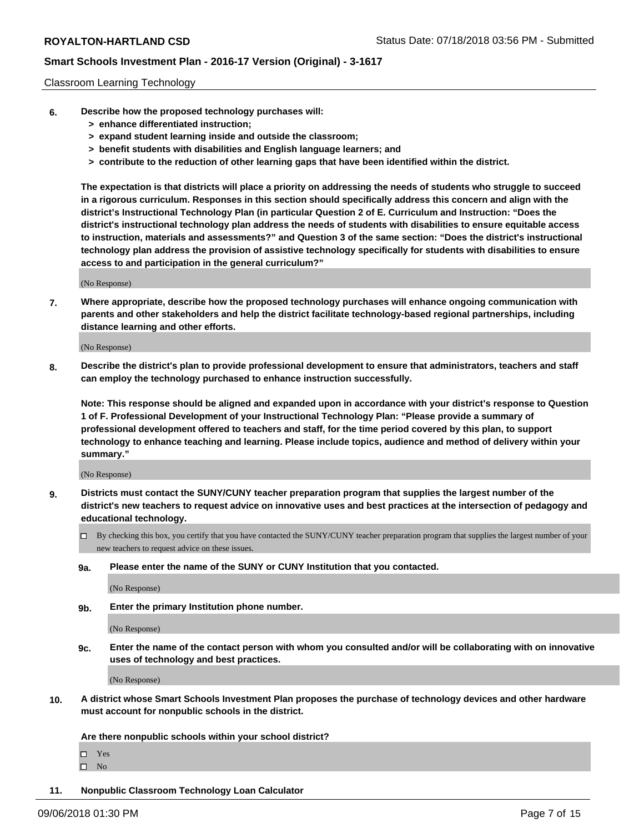#### Classroom Learning Technology

- **6. Describe how the proposed technology purchases will:**
	- **> enhance differentiated instruction;**
	- **> expand student learning inside and outside the classroom;**
	- **> benefit students with disabilities and English language learners; and**
	- **> contribute to the reduction of other learning gaps that have been identified within the district.**

**The expectation is that districts will place a priority on addressing the needs of students who struggle to succeed in a rigorous curriculum. Responses in this section should specifically address this concern and align with the district's Instructional Technology Plan (in particular Question 2 of E. Curriculum and Instruction: "Does the district's instructional technology plan address the needs of students with disabilities to ensure equitable access to instruction, materials and assessments?" and Question 3 of the same section: "Does the district's instructional technology plan address the provision of assistive technology specifically for students with disabilities to ensure access to and participation in the general curriculum?"**

(No Response)

**7. Where appropriate, describe how the proposed technology purchases will enhance ongoing communication with parents and other stakeholders and help the district facilitate technology-based regional partnerships, including distance learning and other efforts.**

(No Response)

**8. Describe the district's plan to provide professional development to ensure that administrators, teachers and staff can employ the technology purchased to enhance instruction successfully.**

**Note: This response should be aligned and expanded upon in accordance with your district's response to Question 1 of F. Professional Development of your Instructional Technology Plan: "Please provide a summary of professional development offered to teachers and staff, for the time period covered by this plan, to support technology to enhance teaching and learning. Please include topics, audience and method of delivery within your summary."**

(No Response)

- **9. Districts must contact the SUNY/CUNY teacher preparation program that supplies the largest number of the district's new teachers to request advice on innovative uses and best practices at the intersection of pedagogy and educational technology.**
	- By checking this box, you certify that you have contacted the SUNY/CUNY teacher preparation program that supplies the largest number of your new teachers to request advice on these issues.
	- **9a. Please enter the name of the SUNY or CUNY Institution that you contacted.**

(No Response)

**9b. Enter the primary Institution phone number.**

(No Response)

**9c. Enter the name of the contact person with whom you consulted and/or will be collaborating with on innovative uses of technology and best practices.**

(No Response)

**10. A district whose Smart Schools Investment Plan proposes the purchase of technology devices and other hardware must account for nonpublic schools in the district.**

**Are there nonpublic schools within your school district?**

Yes

 $\square$  No

**11. Nonpublic Classroom Technology Loan Calculator**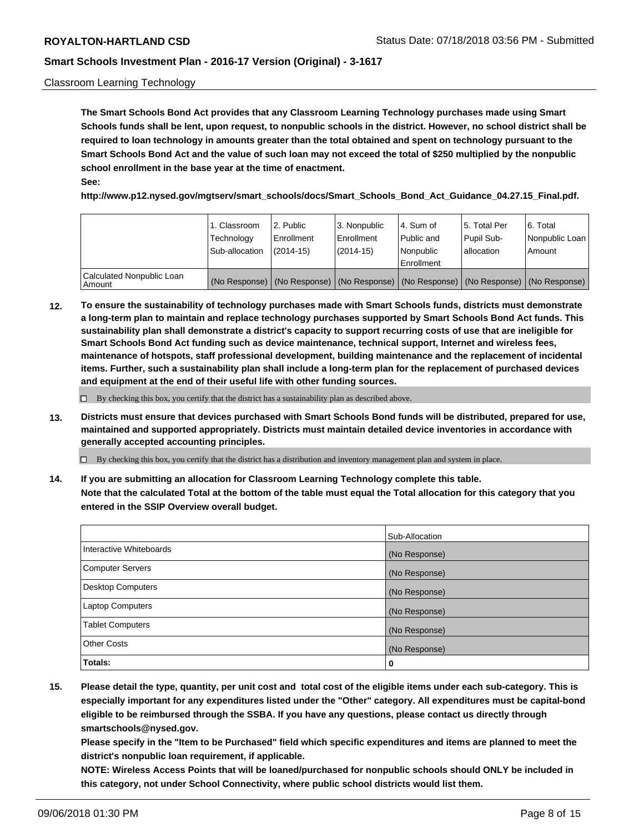### Classroom Learning Technology

**The Smart Schools Bond Act provides that any Classroom Learning Technology purchases made using Smart Schools funds shall be lent, upon request, to nonpublic schools in the district. However, no school district shall be required to loan technology in amounts greater than the total obtained and spent on technology pursuant to the Smart Schools Bond Act and the value of such loan may not exceed the total of \$250 multiplied by the nonpublic school enrollment in the base year at the time of enactment. See:**

**http://www.p12.nysed.gov/mgtserv/smart\_schools/docs/Smart\_Schools\_Bond\_Act\_Guidance\_04.27.15\_Final.pdf.**

|                                       | 1. Classroom<br>Technology<br>Sub-allocation | 2. Public<br>l Enrollment<br>$(2014 - 15)$ | l 3. Nonpublic<br>l Enrollment<br>$(2014 - 15)$ | l 4. Sum of<br>Public and<br>l Nonpublic<br>Enrollment                                        | 15. Total Per<br>Pupil Sub-<br>l allocation | l 6. Total<br>Nonpublic Loan<br>Amount |
|---------------------------------------|----------------------------------------------|--------------------------------------------|-------------------------------------------------|-----------------------------------------------------------------------------------------------|---------------------------------------------|----------------------------------------|
| Calculated Nonpublic Loan<br>l Amount |                                              |                                            |                                                 | (No Response)   (No Response)   (No Response)   (No Response)   (No Response)   (No Response) |                                             |                                        |

**12. To ensure the sustainability of technology purchases made with Smart Schools funds, districts must demonstrate a long-term plan to maintain and replace technology purchases supported by Smart Schools Bond Act funds. This sustainability plan shall demonstrate a district's capacity to support recurring costs of use that are ineligible for Smart Schools Bond Act funding such as device maintenance, technical support, Internet and wireless fees, maintenance of hotspots, staff professional development, building maintenance and the replacement of incidental items. Further, such a sustainability plan shall include a long-term plan for the replacement of purchased devices and equipment at the end of their useful life with other funding sources.**

 $\Box$  By checking this box, you certify that the district has a sustainability plan as described above.

**13. Districts must ensure that devices purchased with Smart Schools Bond funds will be distributed, prepared for use, maintained and supported appropriately. Districts must maintain detailed device inventories in accordance with generally accepted accounting principles.**

By checking this box, you certify that the district has a distribution and inventory management plan and system in place.

**14. If you are submitting an allocation for Classroom Learning Technology complete this table. Note that the calculated Total at the bottom of the table must equal the Total allocation for this category that you entered in the SSIP Overview overall budget.**

|                          | Sub-Allocation |
|--------------------------|----------------|
| Interactive Whiteboards  | (No Response)  |
| <b>Computer Servers</b>  | (No Response)  |
| <b>Desktop Computers</b> | (No Response)  |
| <b>Laptop Computers</b>  | (No Response)  |
| <b>Tablet Computers</b>  | (No Response)  |
| <b>Other Costs</b>       | (No Response)  |
| Totals:                  | 0              |

**15. Please detail the type, quantity, per unit cost and total cost of the eligible items under each sub-category. This is especially important for any expenditures listed under the "Other" category. All expenditures must be capital-bond eligible to be reimbursed through the SSBA. If you have any questions, please contact us directly through smartschools@nysed.gov.**

**Please specify in the "Item to be Purchased" field which specific expenditures and items are planned to meet the district's nonpublic loan requirement, if applicable.**

**NOTE: Wireless Access Points that will be loaned/purchased for nonpublic schools should ONLY be included in this category, not under School Connectivity, where public school districts would list them.**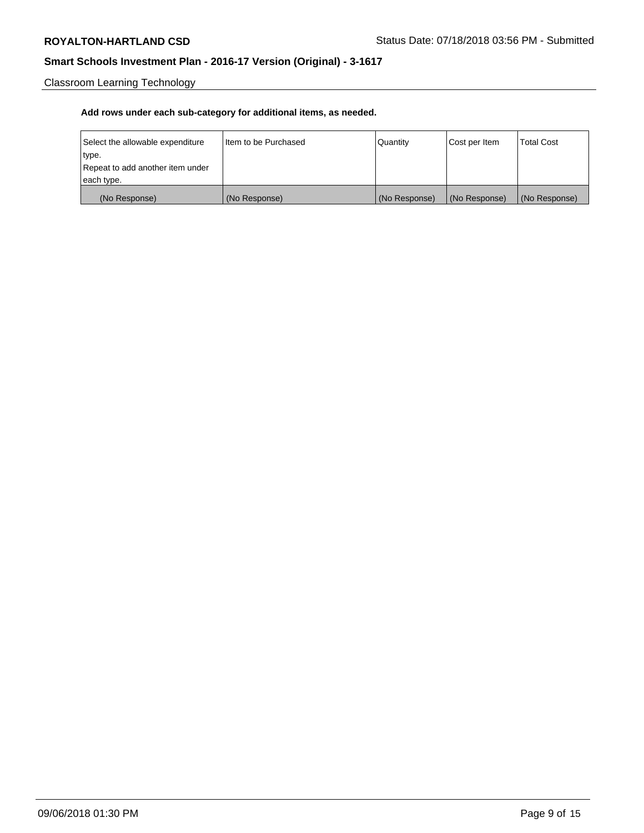Classroom Learning Technology

| Select the allowable expenditure | I Item to be Purchased | Quantity      | Cost per Item | <b>Total Cost</b> |
|----------------------------------|------------------------|---------------|---------------|-------------------|
| type.                            |                        |               |               |                   |
| Repeat to add another item under |                        |               |               |                   |
| each type.                       |                        |               |               |                   |
| (No Response)                    | (No Response)          | (No Response) | (No Response) | (No Response)     |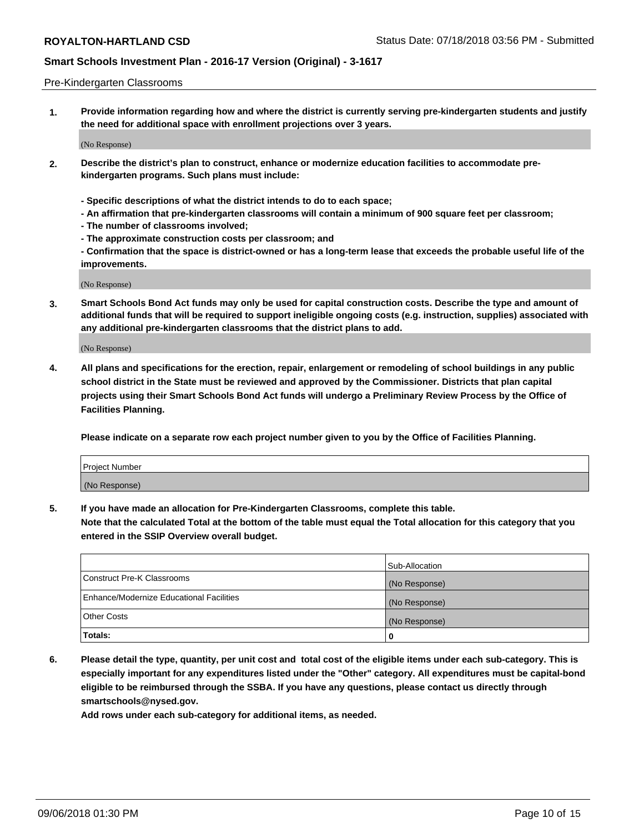#### Pre-Kindergarten Classrooms

**1. Provide information regarding how and where the district is currently serving pre-kindergarten students and justify the need for additional space with enrollment projections over 3 years.**

(No Response)

- **2. Describe the district's plan to construct, enhance or modernize education facilities to accommodate prekindergarten programs. Such plans must include:**
	- **Specific descriptions of what the district intends to do to each space;**
	- **An affirmation that pre-kindergarten classrooms will contain a minimum of 900 square feet per classroom;**
	- **The number of classrooms involved;**
	- **The approximate construction costs per classroom; and**
	- **Confirmation that the space is district-owned or has a long-term lease that exceeds the probable useful life of the improvements.**

(No Response)

**3. Smart Schools Bond Act funds may only be used for capital construction costs. Describe the type and amount of additional funds that will be required to support ineligible ongoing costs (e.g. instruction, supplies) associated with any additional pre-kindergarten classrooms that the district plans to add.**

(No Response)

**4. All plans and specifications for the erection, repair, enlargement or remodeling of school buildings in any public school district in the State must be reviewed and approved by the Commissioner. Districts that plan capital projects using their Smart Schools Bond Act funds will undergo a Preliminary Review Process by the Office of Facilities Planning.**

**Please indicate on a separate row each project number given to you by the Office of Facilities Planning.**

| Project Number |  |
|----------------|--|
| (No Response)  |  |
|                |  |

**5. If you have made an allocation for Pre-Kindergarten Classrooms, complete this table.**

**Note that the calculated Total at the bottom of the table must equal the Total allocation for this category that you entered in the SSIP Overview overall budget.**

|                                          | Sub-Allocation |
|------------------------------------------|----------------|
| Construct Pre-K Classrooms               | (No Response)  |
| Enhance/Modernize Educational Facilities | (No Response)  |
| <b>Other Costs</b>                       | (No Response)  |
| Totals:                                  | 0              |

**6. Please detail the type, quantity, per unit cost and total cost of the eligible items under each sub-category. This is especially important for any expenditures listed under the "Other" category. All expenditures must be capital-bond eligible to be reimbursed through the SSBA. If you have any questions, please contact us directly through smartschools@nysed.gov.**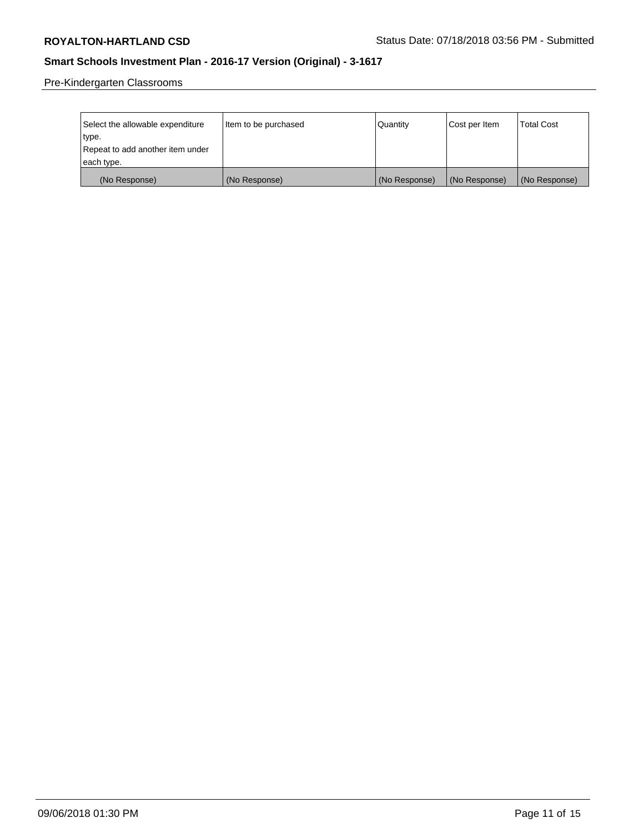Pre-Kindergarten Classrooms

| Select the allowable expenditure<br>type. | Item to be purchased | Quantity      | Cost per Item | <b>Total Cost</b> |
|-------------------------------------------|----------------------|---------------|---------------|-------------------|
| Repeat to add another item under          |                      |               |               |                   |
| each type.                                |                      |               |               |                   |
| (No Response)                             | (No Response)        | (No Response) | (No Response) | (No Response)     |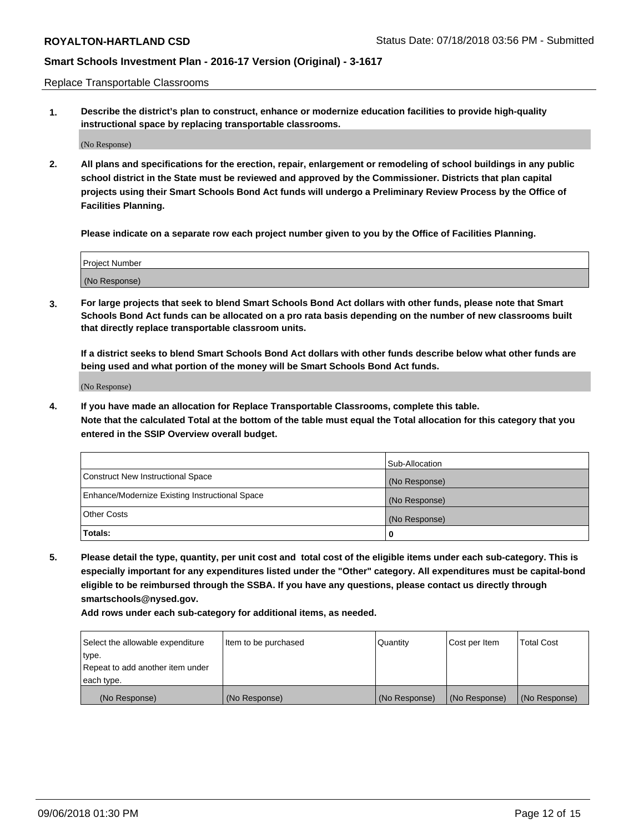Replace Transportable Classrooms

**1. Describe the district's plan to construct, enhance or modernize education facilities to provide high-quality instructional space by replacing transportable classrooms.**

(No Response)

**2. All plans and specifications for the erection, repair, enlargement or remodeling of school buildings in any public school district in the State must be reviewed and approved by the Commissioner. Districts that plan capital projects using their Smart Schools Bond Act funds will undergo a Preliminary Review Process by the Office of Facilities Planning.**

**Please indicate on a separate row each project number given to you by the Office of Facilities Planning.**

| Project Number |  |
|----------------|--|
|                |  |
| (No Response)  |  |

**3. For large projects that seek to blend Smart Schools Bond Act dollars with other funds, please note that Smart Schools Bond Act funds can be allocated on a pro rata basis depending on the number of new classrooms built that directly replace transportable classroom units.**

**If a district seeks to blend Smart Schools Bond Act dollars with other funds describe below what other funds are being used and what portion of the money will be Smart Schools Bond Act funds.**

(No Response)

**4. If you have made an allocation for Replace Transportable Classrooms, complete this table. Note that the calculated Total at the bottom of the table must equal the Total allocation for this category that you entered in the SSIP Overview overall budget.**

|                                                | Sub-Allocation |
|------------------------------------------------|----------------|
| Construct New Instructional Space              | (No Response)  |
| Enhance/Modernize Existing Instructional Space | (No Response)  |
| <b>Other Costs</b>                             | (No Response)  |
| Totals:                                        | 0              |

**5. Please detail the type, quantity, per unit cost and total cost of the eligible items under each sub-category. This is especially important for any expenditures listed under the "Other" category. All expenditures must be capital-bond eligible to be reimbursed through the SSBA. If you have any questions, please contact us directly through smartschools@nysed.gov.**

| Select the allowable expenditure | Item to be purchased | l Quantitv    | Cost per Item | <b>Total Cost</b> |
|----------------------------------|----------------------|---------------|---------------|-------------------|
| type.                            |                      |               |               |                   |
| Repeat to add another item under |                      |               |               |                   |
| each type.                       |                      |               |               |                   |
| (No Response)                    | (No Response)        | (No Response) | (No Response) | (No Response)     |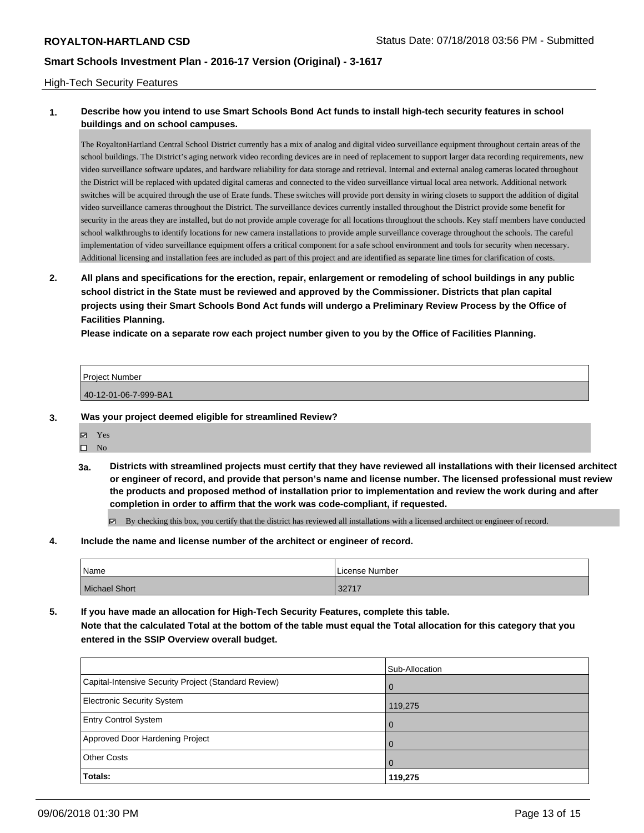### High-Tech Security Features

### **1. Describe how you intend to use Smart Schools Bond Act funds to install high-tech security features in school buildings and on school campuses.**

The Royalton Hartland Central School District currently has a mix of analog and digital video surveillance equipment throughout certain areas of the school buildings. The District's aging network video recording devices are in need of replacement to support larger data recording requirements, new video surveillance software updates, and hardware reliability for data storage and retrieval. Internal and external analog cameras located throughout the District will be replaced with updated digital cameras and connected to the video surveillance virtual local area network. Additional network switches will be acquired through the use of Erate funds. These switches will provide port density in wiring closets to support the addition of digital video surveillance cameras throughout the District. The surveillance devices currently installed throughout the District provide some benefit for security in the areas they are installed, but do not provide ample coverage for all locations throughout the schools. Key staff members have conducted school walkthroughs to identify locations for new camera installations to provide ample surveillance coverage throughout the schools. The careful implementation of video surveillance equipment offers a critical component for a safe school environment and tools for security when necessary. Additional licensing and installation fees are included as part of this project and are identified as separate line times for clarification of costs.

**2. All plans and specifications for the erection, repair, enlargement or remodeling of school buildings in any public school district in the State must be reviewed and approved by the Commissioner. Districts that plan capital projects using their Smart Schools Bond Act funds will undergo a Preliminary Review Process by the Office of Facilities Planning.** 

**Please indicate on a separate row each project number given to you by the Office of Facilities Planning.**

| <b>Project Number</b> |  |
|-----------------------|--|
| 40-12-01-06-7-999-BA1 |  |

- **3. Was your project deemed eligible for streamlined Review?**
	- Yes
	- $\square$  No
	- **3a. Districts with streamlined projects must certify that they have reviewed all installations with their licensed architect or engineer of record, and provide that person's name and license number. The licensed professional must review the products and proposed method of installation prior to implementation and review the work during and after completion in order to affirm that the work was code-compliant, if requested.**

By checking this box, you certify that the district has reviewed all installations with a licensed architect or engineer of record.

**4. Include the name and license number of the architect or engineer of record.**

| 'Name                | License Number |
|----------------------|----------------|
| <b>Michael Short</b> | 22717<br>3211  |

**5. If you have made an allocation for High-Tech Security Features, complete this table. Note that the calculated Total at the bottom of the table must equal the Total allocation for this category that you entered in the SSIP Overview overall budget.**

|                                                      | Sub-Allocation |
|------------------------------------------------------|----------------|
| Capital-Intensive Security Project (Standard Review) | l 0            |
| <b>Electronic Security System</b>                    | 119,275        |
| <b>Entry Control System</b>                          | l 0            |
| Approved Door Hardening Project                      | $\Omega$       |
| <b>Other Costs</b>                                   | l O            |
| <b>Totals:</b>                                       | 119,275        |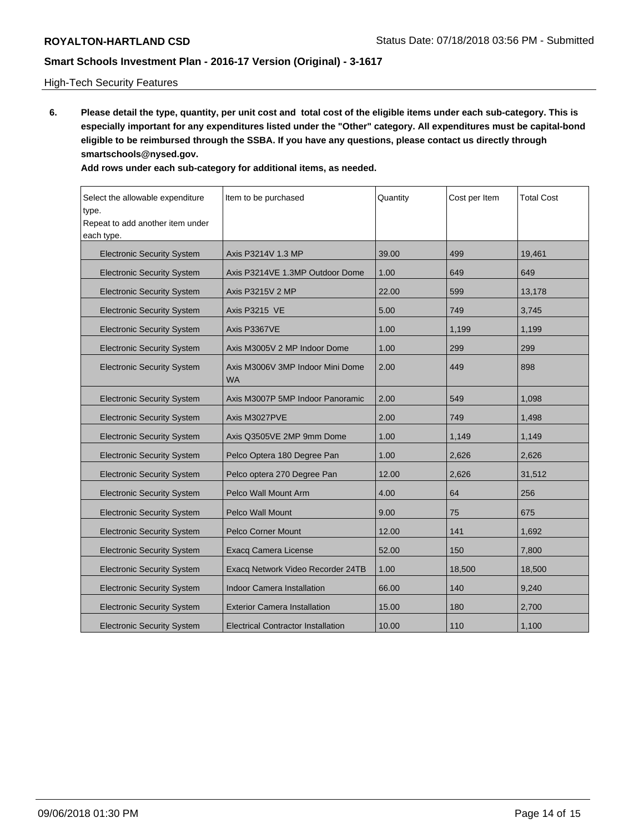## High-Tech Security Features

**6. Please detail the type, quantity, per unit cost and total cost of the eligible items under each sub-category. This is especially important for any expenditures listed under the "Other" category. All expenditures must be capital-bond eligible to be reimbursed through the SSBA. If you have any questions, please contact us directly through smartschools@nysed.gov.**

| Select the allowable expenditure<br>type.<br>Repeat to add another item under<br>each type. | Item to be purchased                           | Quantity | Cost per Item | <b>Total Cost</b> |  |
|---------------------------------------------------------------------------------------------|------------------------------------------------|----------|---------------|-------------------|--|
| <b>Electronic Security System</b>                                                           | Axis P3214 V 1.3 MP                            | 39.00    | 499           | 19,461            |  |
| <b>Electronic Security System</b>                                                           | Axis P3214 VE 1.3MP Outdoor Dome               | 1.00     | 649           | 649               |  |
| <b>Electronic Security System</b>                                                           | Axis P3215 V 2 MP                              | 22.00    | 599           | 13,178            |  |
| <b>Electronic Security System</b>                                                           | Axis P3215 VE                                  | 5.00     | 749           | 3,745             |  |
| <b>Electronic Security System</b>                                                           | Axis P3367 VE                                  | 1.00     | 1,199         | 1,199             |  |
| <b>Electronic Security System</b>                                                           | Axis M3005 V 2 MP Indoor Dome                  | 1.00     | 299           | 299               |  |
| <b>Electronic Security System</b>                                                           | Axis M3006 V 3MP Indoor Mini Dome<br><b>WA</b> | 2.00     | 449           | 898               |  |
| <b>Electronic Security System</b>                                                           | Axis M3007 P 5MP Indoor Panoramic              | 2.00     | 549           | 1,098             |  |
| <b>Electronic Security System</b>                                                           | Axis M3027 PVE                                 | 2.00     | 749           | 1,498             |  |
| <b>Electronic Security System</b>                                                           | Axis Q3505 VE 2MP 9mm Dome                     | 1.00     | 1,149         | 1,149             |  |
| <b>Electronic Security System</b>                                                           | Pelco Optera 180 Degree Pan                    | 1.00     | 2,626         | 2,626             |  |
| <b>Electronic Security System</b>                                                           | Pelco optera 270 Degree Pan                    | 12.00    | 2,626         | 31,512            |  |
| <b>Electronic Security System</b>                                                           | Pelco Wall Mount Arm                           | 4.00     | 64            | 256               |  |
| <b>Electronic Security System</b>                                                           | <b>Pelco Wall Mount</b>                        | 9.00     | 75            | 675               |  |
| <b>Electronic Security System</b>                                                           | <b>Pelco Corner Mount</b>                      | 12.00    | 141           | 1,692             |  |
| <b>Electronic Security System</b>                                                           | <b>Exacq Camera License</b>                    | 52.00    | 150           | 7,800             |  |
| <b>Electronic Security System</b>                                                           | Exacq Network Video Recorder 24TB              | 1.00     | 18,500        | 18,500            |  |
| <b>Electronic Security System</b>                                                           | <b>Indoor Camera Installation</b>              | 66.00    | 140           | 9,240             |  |
| <b>Electronic Security System</b>                                                           | <b>Exterior Camera Installation</b>            | 15.00    | 180           | 2,700             |  |
| <b>Electronic Security System</b>                                                           | Electrical Contractor Installation             | 10.00    | 110           | 1,100             |  |